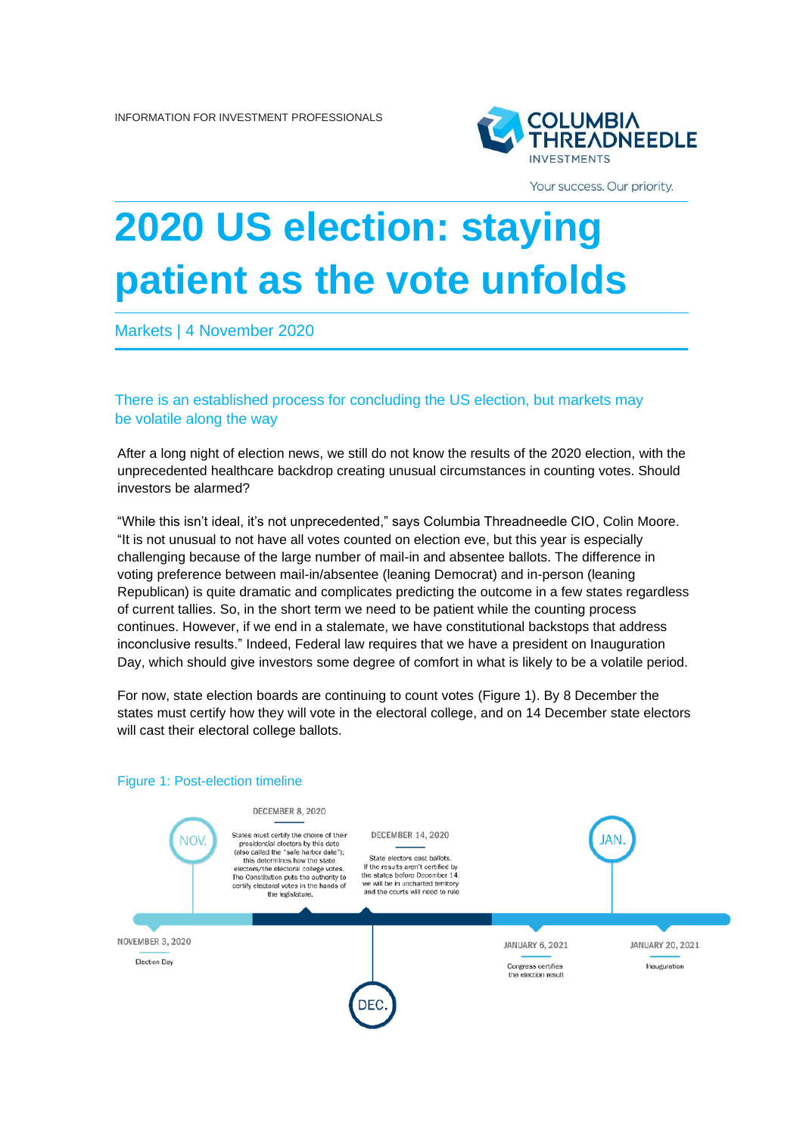

Your success. Our priority.

## **2020 US election: staying patient as the vote unfolds**

Markets | 4 November 2020

There is an established process for concluding the US election, but markets may be volatile along the way

After a long night of election news, we still do not know the results of the 2020 election, with the unprecedented healthcare backdrop creating unusual circumstances in counting votes. Should investors be alarmed?

"While this isn't ideal, it's not unprecedented," says Columbia Threadneedle CIO, Colin Moore. "It is not unusual to not have all votes counted on election eve, but this year is especially challenging because of the large number of mail-in and absentee ballots. The difference in voting preference between mail-in/absentee (leaning Democrat) and in-person (leaning Republican) is quite dramatic and complicates predicting the outcome in a few states regardless of current tallies. So, in the short term we need to be patient while the counting process continues. However, if we end in a stalemate, we have constitutional backstops that address inconclusive results." Indeed, Federal law requires that we have a president on Inauguration Day, which should give investors some degree of comfort in what is likely to be a volatile period.

For now, state election boards are continuing to count votes (Figure 1). By 8 December the states must certify how they will vote in the electoral college, and on 14 December state electors will cast their electoral college ballots.

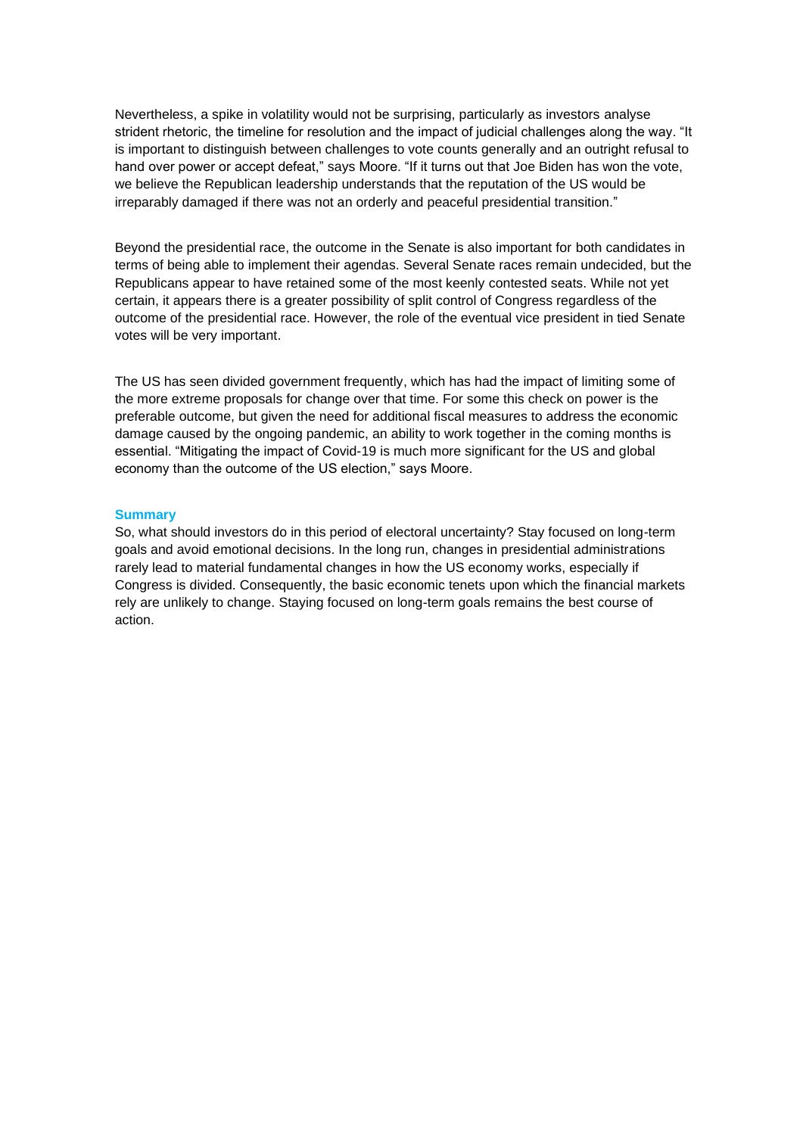Nevertheless, a spike in volatility would not be surprising, particularly as investors analyse strident rhetoric, the timeline for resolution and the impact of judicial challenges along the way. "It is important to distinguish between challenges to vote counts generally and an outright refusal to hand over power or accept defeat," says Moore. "If it turns out that Joe Biden has won the vote, we believe the Republican leadership understands that the reputation of the US would be irreparably damaged if there was not an orderly and peaceful presidential transition."

Beyond the presidential race, the outcome in the Senate is also important for both candidates in terms of being able to implement their agendas. Several Senate races remain undecided, but the Republicans appear to have retained some of the most keenly contested seats. While not yet certain, it appears there is a greater possibility of split control of Congress regardless of the outcome of the presidential race. However, the role of the eventual vice president in tied Senate votes will be very important.

The US has seen divided government frequently, which has had the impact of limiting some of the more extreme proposals for change over that time. For some this check on power is the preferable outcome, but given the need for additional fiscal measures to address the economic damage caused by the ongoing pandemic, an ability to work together in the coming months is essential. "Mitigating the impact of Covid-19 is much more significant for the US and global economy than the outcome of the US election," says Moore.

## **Summary**

So, what should investors do in this period of electoral uncertainty? Stay focused on long-term goals and avoid emotional decisions. In the long run, changes in presidential administrations rarely lead to material fundamental changes in how the US economy works, especially if Congress is divided. Consequently, the basic economic tenets upon which the financial markets rely are unlikely to change. Staying focused on long-term goals remains the best course of action.